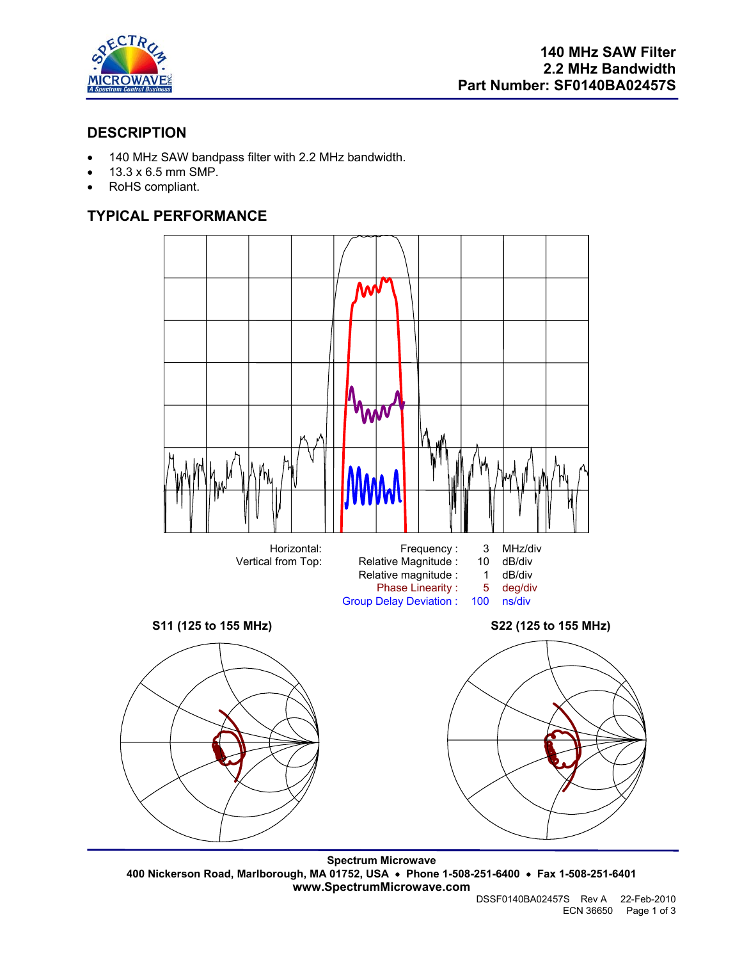

# **DESCRIPTION**

- 140 MHz SAW bandpass filter with 2.2 MHz bandwidth.
- 13.3 x 6.5 mm SMP.
- RoHS compliant.

# **TYPICAL PERFORMANCE**



**Spectrum Microwave 400 Nickerson Road, Marlborough, MA 01752, USA** • **Phone 1-508-251-6400** • **Fax 1-508-251-6401 www.SpectrumMicrowave.com**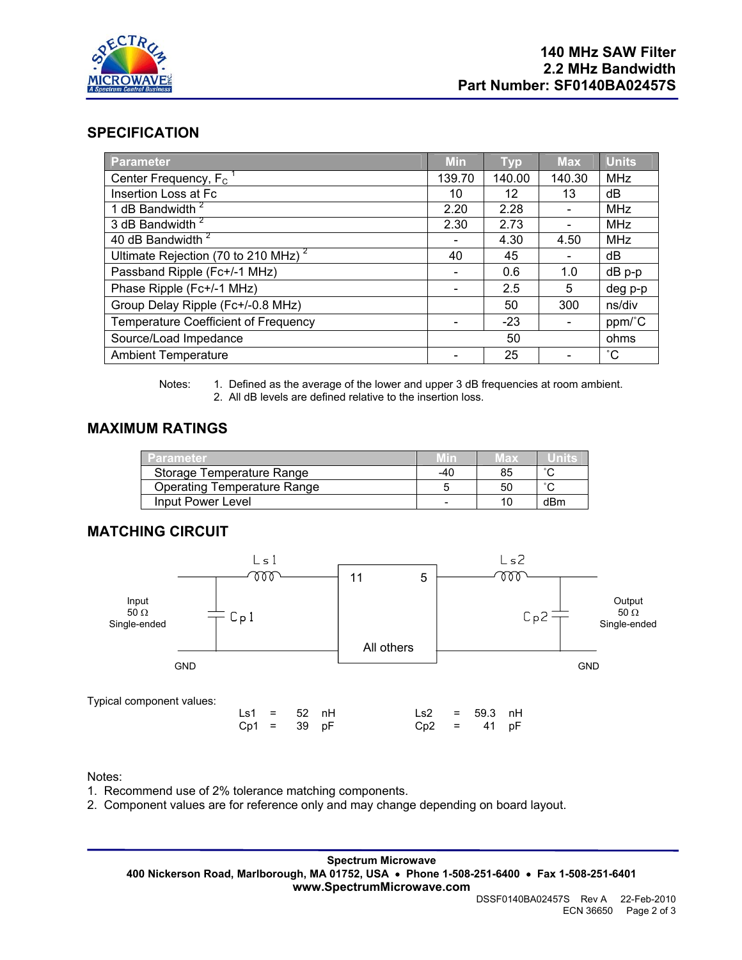

## **SPECIFICATION**

| Parameter                                       | <b>Min</b> | <b>Typ</b> | <b>Max</b> | <b>Units</b> |
|-------------------------------------------------|------------|------------|------------|--------------|
| Center Frequency, $F_c$                         | 139.70     | 140.00     | 140.30     | <b>MHz</b>   |
| Insertion Loss at Fc                            | 10         | 12         | 13         | dB           |
| 1 dB Bandwidth <sup>2</sup>                     | 2.20       | 2.28       |            | <b>MHz</b>   |
| 3 dB Bandwidth <sup>2</sup>                     | 2.30       | 2.73       |            | MHz          |
| 40 dB Bandwidth <sup>2</sup>                    |            | 4.30       | 4.50       | <b>MHz</b>   |
| Ultimate Rejection (70 to 210 MHz) <sup>2</sup> | 40         | 45         |            | dB           |
| Passband Ripple (Fc+/-1 MHz)                    |            | 0.6        | 1.0        | dB p-p       |
| Phase Ripple (Fc+/-1 MHz)                       |            | 2.5        | 5          | deg p-p      |
| Group Delay Ripple (Fc+/-0.8 MHz)               |            | 50         | 300        | ns/div       |
| <b>Temperature Coefficient of Frequency</b>     |            | $-23$      |            | ppm/°C       |
| Source/Load Impedance                           |            | 50         |            | ohms         |
| <b>Ambient Temperature</b>                      |            | 25         |            | $^{\circ}$ C |

Notes: 1. Defined as the average of the lower and upper 3 dB frequencies at room ambient. 2. All dB levels are defined relative to the insertion loss.

## **MAXIMUM RATINGS**

| Parameter                   | /Vin | иах | ™U∭ks. |
|-----------------------------|------|-----|--------|
| Storage Temperature Range   | -40  | 85  | $\sim$ |
| Operating Temperature Range |      | 50  | $\sim$ |
| Input Power Level           |      |     | dBm    |

## **MATCHING CIRCUIT**



Notes:

- 1. Recommend use of 2% tolerance matching components.
- 2. Component values are for reference only and may change depending on board layout.

**Spectrum Microwave 400 Nickerson Road, Marlborough, MA 01752, USA** • **Phone 1-508-251-6400** • **Fax 1-508-251-6401 www.SpectrumMicrowave.com**